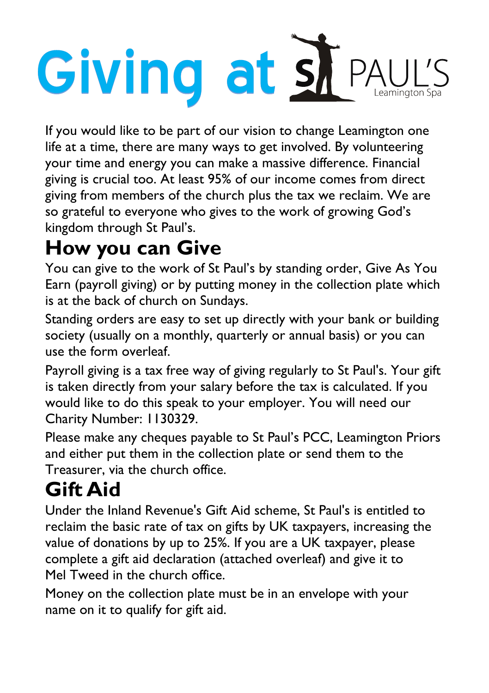# Giving at si PAUL'

If you would like to be part of our vision to change Leamington one life at a time, there are many ways to get involved. By volunteering your [time and energy](http://www.sph.org/Publisher/Article.aspx?ID=273976) you can make a massive difference. Financial giving is crucial too. At least 95% of our income comes from direct giving from members of the church plus the tax we reclaim. We are so grateful to everyone who gives to the work of growing God's kingdom through St Paul's.

## **How you can Give**

You can give to the work of St Paul's by standing order, Give As You Earn (payroll giving) or by putting money in the collection plate which is at the back of church on Sundays.

Standing orders are easy to set up directly with your bank or building society (usually on a monthly, quarterly or annual basis) or you can use the form overleaf.

Payroll giving is a tax free way of giving regularly to St Paul's. Your gift is taken directly from your salary before the tax is calculated. If you would like to do this speak to your employer. You will need our Charity Number: 1130329.

Please make any cheques payable to St Paul's PCC, Leamington Priors and either put them in the collection plate or send them to the Treasurer, via the church office.

# **Gift Aid**

Under the Inland Revenue's Gift Aid scheme, St Paul's is entitled to reclaim the basic rate of tax on gifts by UK taxpayers, increasing the value of donations by up to 25%. If you are a UK taxpayer, please complete a gift aid declaration (attached overleaf) and give it to Mel Tweed in the church office.

Money on the collection plate must be in an envelope with your name on it to qualify for gift aid.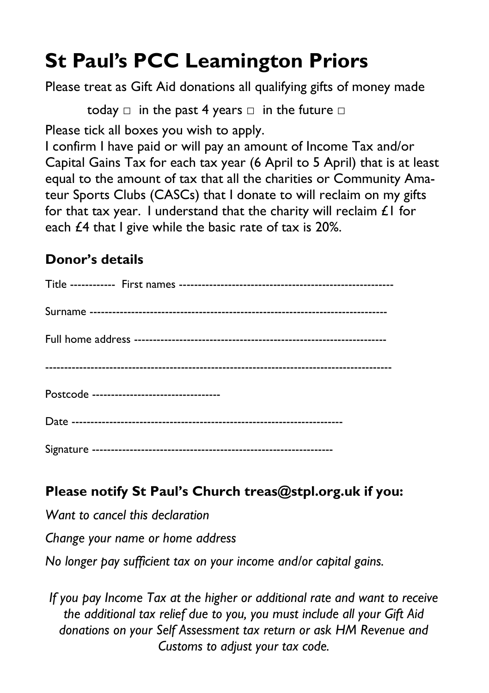# **St Paul's PCC Leamington Priors**

Please treat as Gift Aid donations all qualifying gifts of money made

today  $\Box$  in the past 4 years  $\Box$  in the future  $\Box$ 

Please tick all boxes you wish to apply.

I confirm I have paid or will pay an amount of Income Tax and/or Capital Gains Tax for each tax year (6 April to 5 April) that is at least equal to the amount of tax that all the charities or Community Amateur Sports Clubs (CASCs) that I donate to will reclaim on my gifts for that tax year. I understand that the charity will reclaim  $\mathcal{L}$  I for each £4 that I give while the basic rate of tax is 20%.

#### **Donor's details**

| Postcode ----------------------------------- |
|----------------------------------------------|
|                                              |
|                                              |

#### **Please notify St Paul's Church treas@stpl.org.uk if you:**

*Want to cancel this declaration* 

*Change your name or home address* 

*No longer pay sufficient tax on your income and/or capital gains.* 

*If you pay Income Tax at the higher or additional rate and want to receive the additional tax relief due to you, you must include all your Gift Aid donations on your Self Assessment tax return or ask HM Revenue and Customs to adjust your tax code.*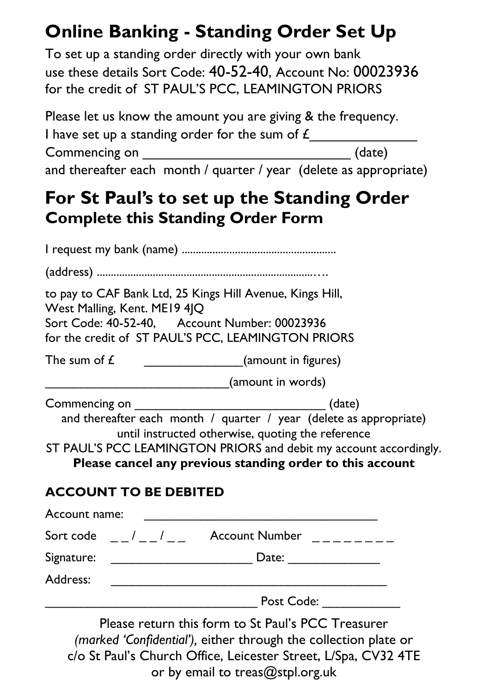## **Online Banking - Standing Order Set Up**

To set up a standing order directly with your own bank use these details Sort Code: 40-52-40, Account No: 00023936 for the credit of ST PAUL'S PCC, LEAMINGTON PRIORS

Please let us know the amount you are giving & the frequency. I have set up a standing order for the sum of  $\mathcal L$ Commencing on \_\_\_\_\_\_\_\_\_\_\_\_\_\_\_\_\_\_\_\_\_\_\_\_\_\_\_ (date) and thereafter each month / quarter / year (delete as appropriate)

## **For St Paul's to set up the Standing Order Complete this Standing Order Form**

I request my bank (name) ....................................................... (address) .............................................................................…. to pay to CAF Bank Ltd, 25 Kings Hill Avenue, Kings Hill, West Malling, Kent. ME19 4JQ Sort Code: 40-52-40, Account Number: 00023936 for the credit of ST PAUL'S PCC, LEAMINGTON PRIORS The sum of  $\hat{L}$  (amount in figures) damount in words) Commencing on  $(date)$ and thereafter each month / quarter / year (delete as appropriate) until instructed otherwise, quoting the reference ST PAUL'S PCC LEAMINGTON PRIORS and debit my account accordingly. **Please cancel any previous standing order to this account ACCOUNT TO BE DEBITED** Account name: Sort code  $\frac{1}{2}$  /  $\frac{1}{2}$  Account Number  $\frac{1}{2}$ Signature: The Contract of the Contract of Contract Out of the Contract of Contract of Contract of Contract of Contract of Contract of Contract of Contract of Contract of Contract of Contract of Contract of Contract of Con Address: \_\_\_\_\_\_\_\_\_\_\_\_\_\_\_\_\_\_\_\_\_\_\_\_\_\_\_\_\_\_\_\_\_\_\_\_\_\_\_ Post Code:

Please return this form to St Paul's PCC Treasurer *(marked 'Confidential'),* either through the collection plate or c/o St Paul's Church Office, Leicester Street, L/Spa, CV32 4TE or by email to treas@stpl.org.uk